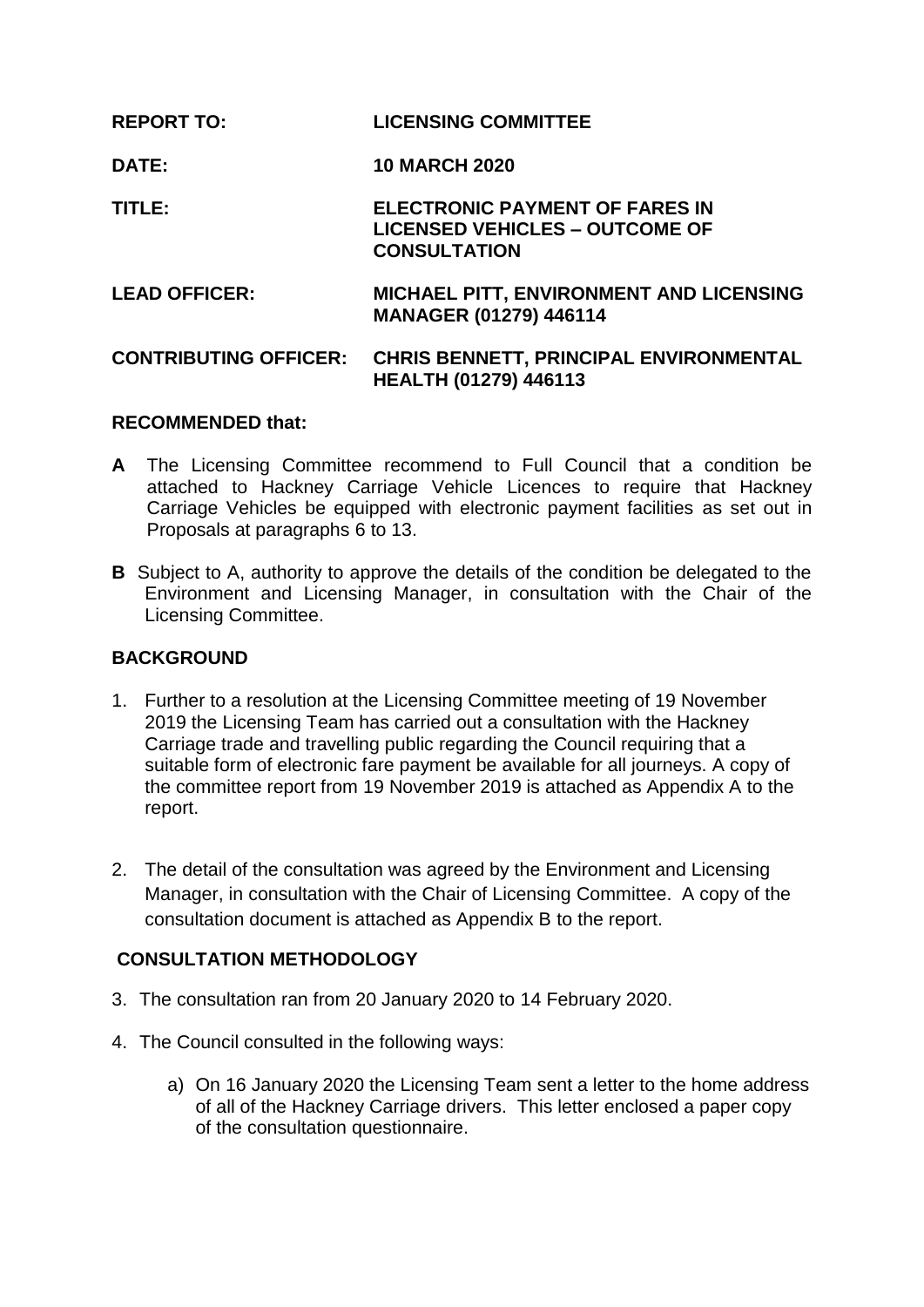| <b>REPORT TO:</b>            | <b>LICENSING COMMITTEE</b>                                                                            |
|------------------------------|-------------------------------------------------------------------------------------------------------|
| <b>DATE:</b>                 | <b>10 MARCH 2020</b>                                                                                  |
| TITLE:                       | <b>ELECTRONIC PAYMENT OF FARES IN</b><br><b>LICENSED VEHICLES - OUTCOME OF</b><br><b>CONSULTATION</b> |
| <b>LEAD OFFICER:</b>         | <b>MICHAEL PITT, ENVIRONMENT AND LICENSING</b><br><b>MANAGER (01279) 446114</b>                       |
| <b>CONTRIBUTING OFFICER:</b> | <b>CHRIS BENNETT, PRINCIPAL ENVIRONMENTAL</b><br><b>HEALTH (01279) 446113</b>                         |

## **RECOMMENDED that:**

- **A** The Licensing Committee recommend to Full Council that a condition be attached to Hackney Carriage Vehicle Licences to require that Hackney Carriage Vehicles be equipped with electronic payment facilities as set out in Proposals at paragraphs 6 to 13.
- **B** Subject to A, authority to approve the details of the condition be delegated to the Environment and Licensing Manager, in consultation with the Chair of the Licensing Committee.

## **BACKGROUND**

- 1. Further to a resolution at the Licensing Committee meeting of 19 November 2019 the Licensing Team has carried out a consultation with the Hackney Carriage trade and travelling public regarding the Council requiring that a suitable form of electronic fare payment be available for all journeys. A copy of the committee report from 19 November 2019 is attached as Appendix A to the report.
- 2. The detail of the consultation was agreed by the Environment and Licensing Manager, in consultation with the Chair of Licensing Committee. A copy of the consultation document is attached as Appendix B to the report.

# **CONSULTATION METHODOLOGY**

- 3. The consultation ran from 20 January 2020 to 14 February 2020.
- 4. The Council consulted in the following ways:
	- a) On 16 January 2020 the Licensing Team sent a letter to the home address of all of the Hackney Carriage drivers. This letter enclosed a paper copy of the consultation questionnaire.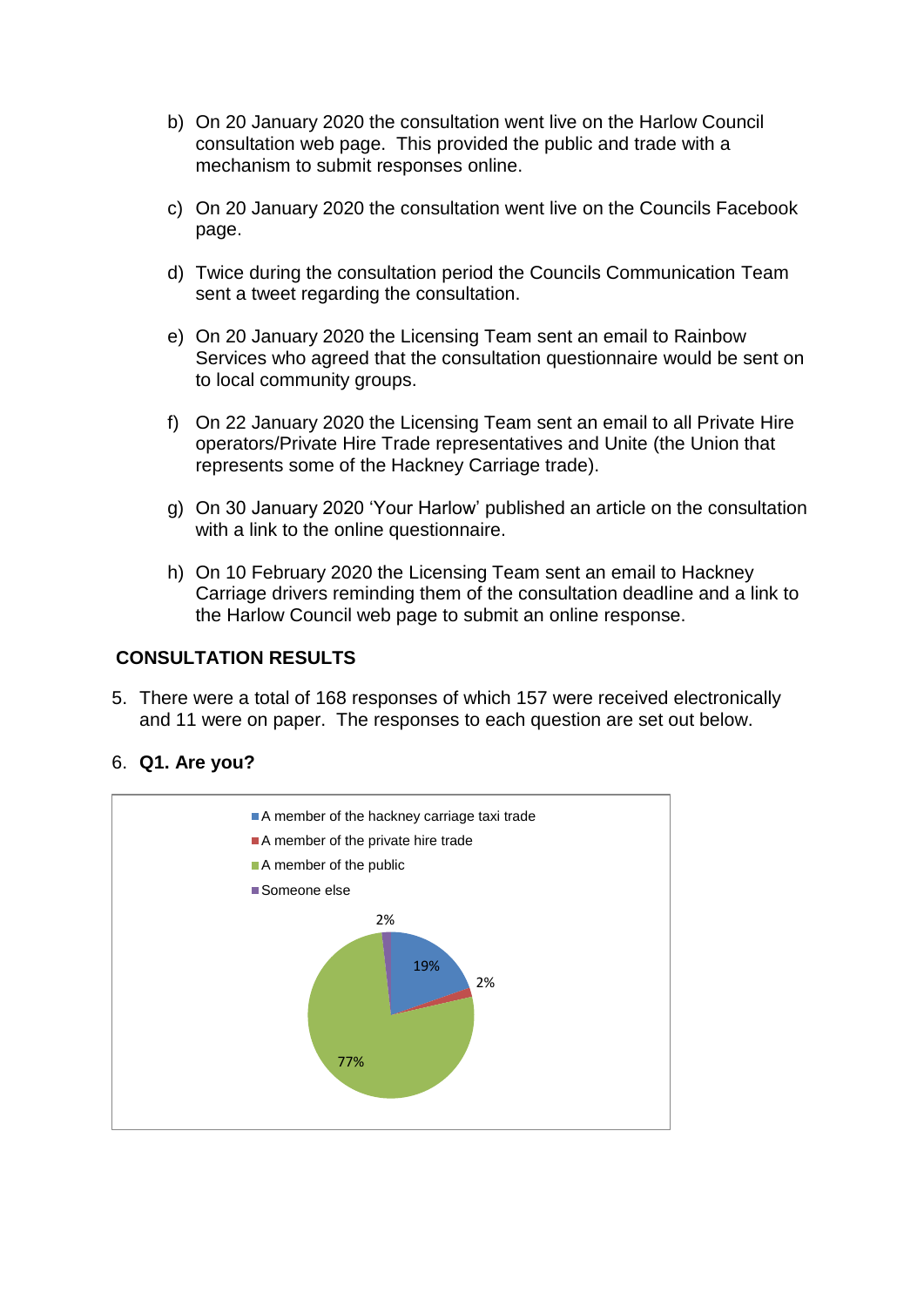- b) On 20 January 2020 the consultation went live on the Harlow Council consultation web page. This provided the public and trade with a mechanism to submit responses online.
- c) On 20 January 2020 the consultation went live on the Councils Facebook page.
- d) Twice during the consultation period the Councils Communication Team sent a tweet regarding the consultation.
- e) On 20 January 2020 the Licensing Team sent an email to Rainbow Services who agreed that the consultation questionnaire would be sent on to local community groups.
- f) On 22 January 2020 the Licensing Team sent an email to all Private Hire operators/Private Hire Trade representatives and Unite (the Union that represents some of the Hackney Carriage trade).
- g) On 30 January 2020 'Your Harlow' published an article on the consultation with a link to the online questionnaire.
- h) On 10 February 2020 the Licensing Team sent an email to Hackney Carriage drivers reminding them of the consultation deadline and a link to the Harlow Council web page to submit an online response.

# **CONSULTATION RESULTS**

5. There were a total of 168 responses of which 157 were received electronically and 11 were on paper. The responses to each question are set out below.

## 6. **Q1. Are you?**

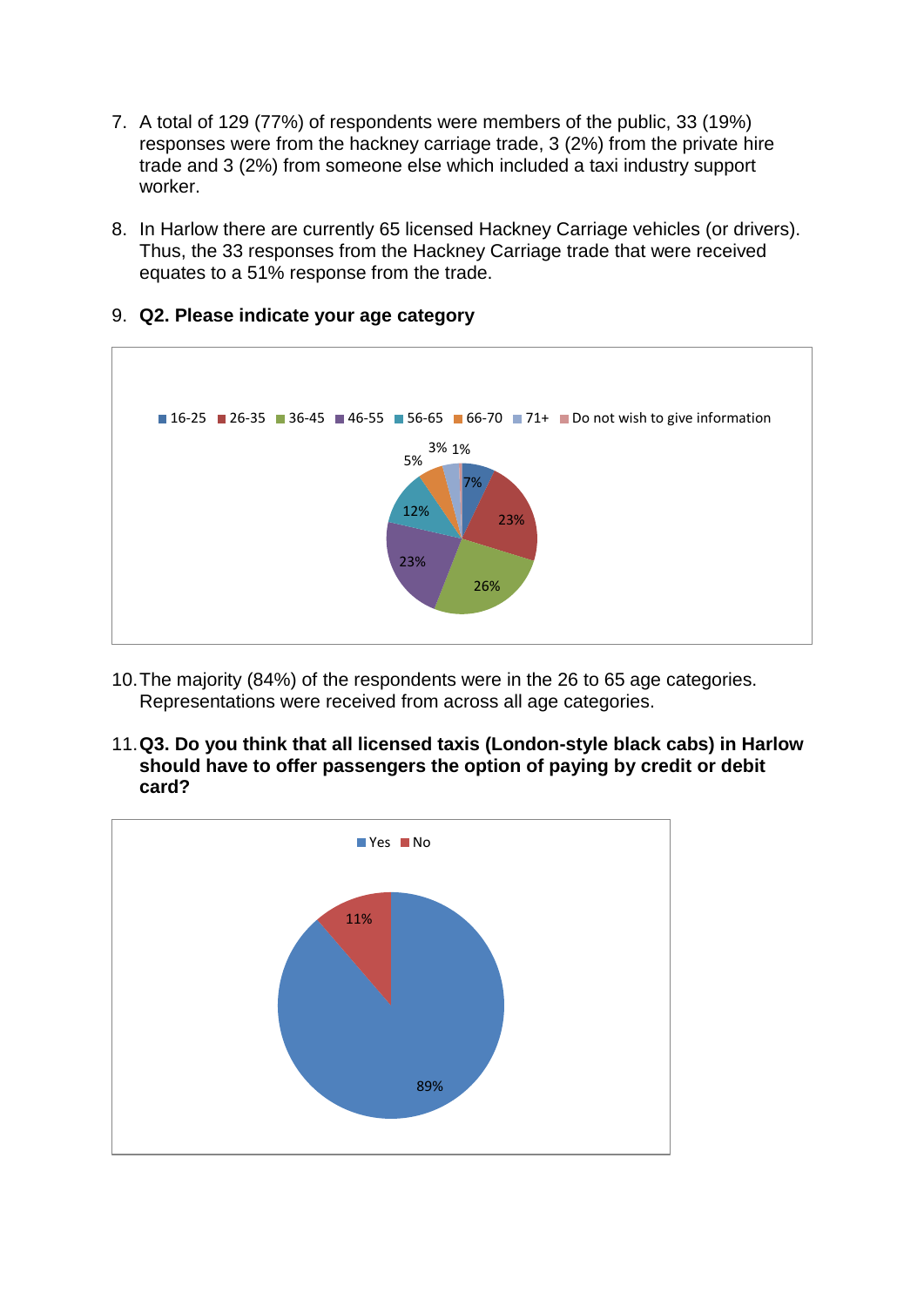- 7. A total of 129 (77%) of respondents were members of the public, 33 (19%) responses were from the hackney carriage trade, 3 (2%) from the private hire trade and 3 (2%) from someone else which included a taxi industry support worker.
- 8. In Harlow there are currently 65 licensed Hackney Carriage vehicles (or drivers). Thus, the 33 responses from the Hackney Carriage trade that were received equates to a 51% response from the trade.



9. **Q2. Please indicate your age category**

- 10.The majority (84%) of the respondents were in the 26 to 65 age categories. Representations were received from across all age categories.
- 11.**Q3. Do you think that all licensed taxis (London-style black cabs) in Harlow should have to offer passengers the option of paying by credit or debit card?**

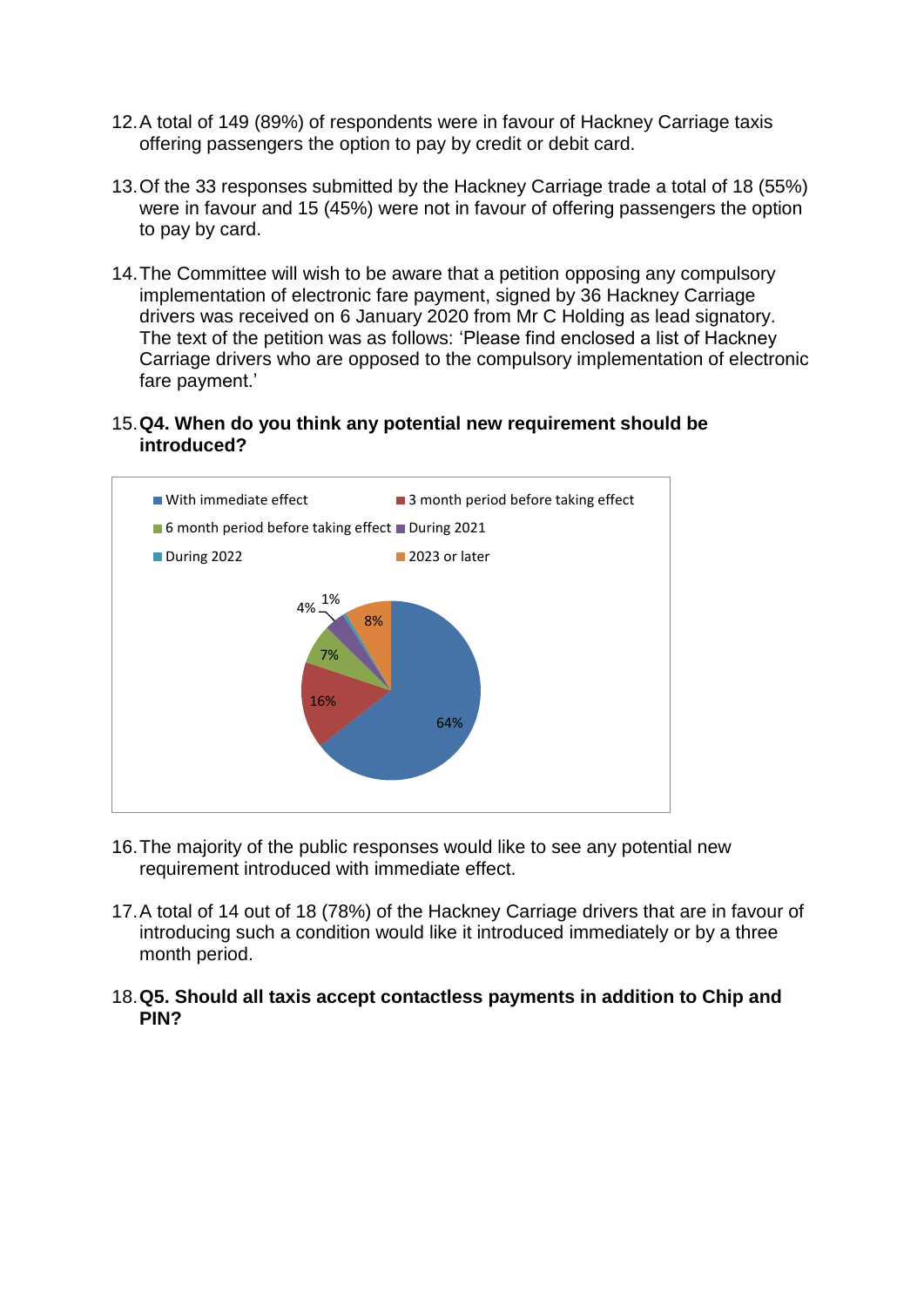- 12.A total of 149 (89%) of respondents were in favour of Hackney Carriage taxis offering passengers the option to pay by credit or debit card.
- 13.Of the 33 responses submitted by the Hackney Carriage trade a total of 18 (55%) were in favour and 15 (45%) were not in favour of offering passengers the option to pay by card.
- 14.The Committee will wish to be aware that a petition opposing any compulsory implementation of electronic fare payment, signed by 36 Hackney Carriage drivers was received on 6 January 2020 from Mr C Holding as lead signatory. The text of the petition was as follows: 'Please find enclosed a list of Hackney Carriage drivers who are opposed to the compulsory implementation of electronic fare payment.'

#### 15.**Q4. When do you think any potential new requirement should be introduced?**



- 16.The majority of the public responses would like to see any potential new requirement introduced with immediate effect.
- 17.A total of 14 out of 18 (78%) of the Hackney Carriage drivers that are in favour of introducing such a condition would like it introduced immediately or by a three month period.
- 18.**Q5. Should all taxis accept contactless payments in addition to Chip and PIN?**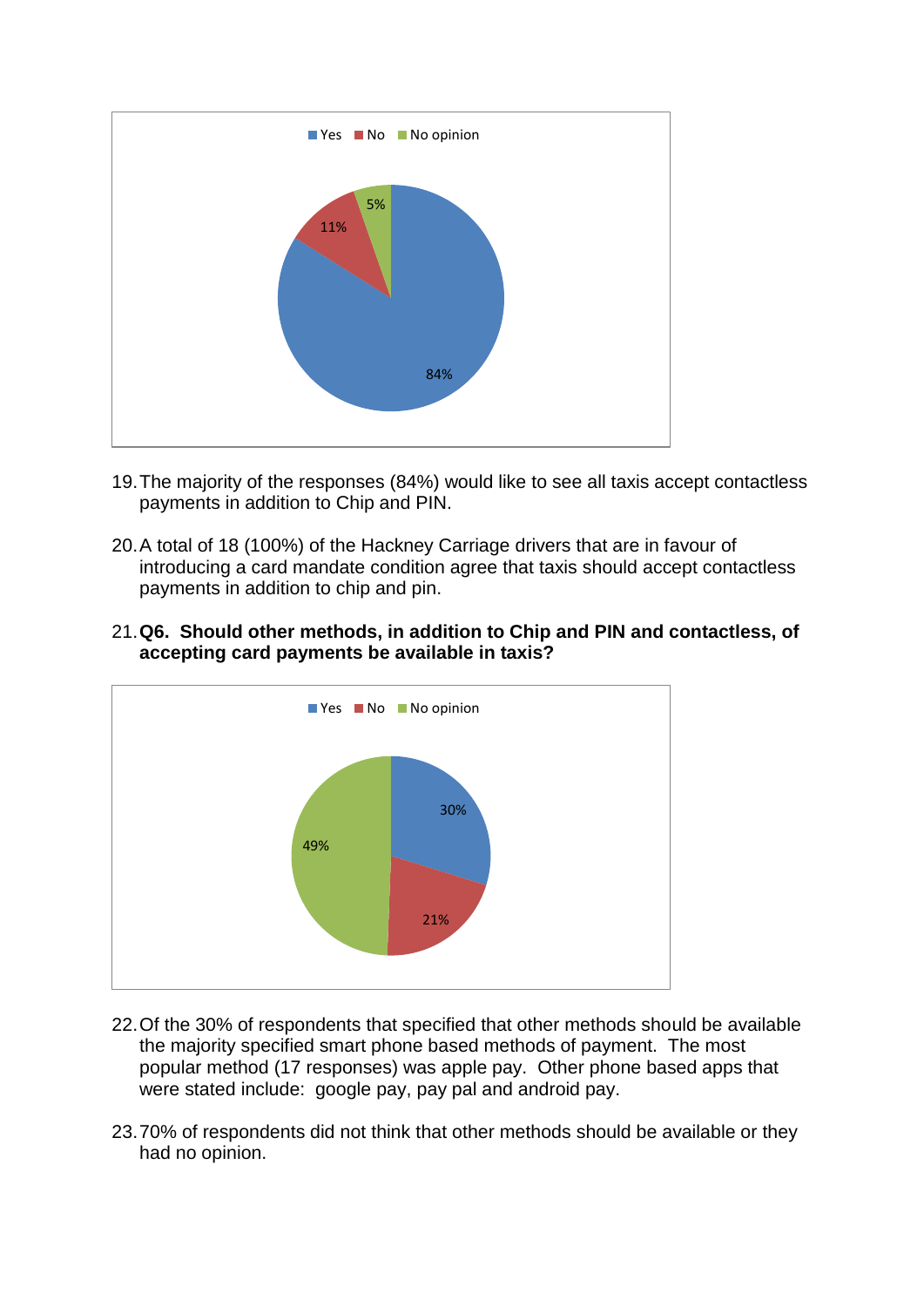

- 19.The majority of the responses (84%) would like to see all taxis accept contactless payments in addition to Chip and PIN.
- 20.A total of 18 (100%) of the Hackney Carriage drivers that are in favour of introducing a card mandate condition agree that taxis should accept contactless payments in addition to chip and pin.
- 21.**Q6. Should other methods, in addition to Chip and PIN and contactless, of accepting card payments be available in taxis?**



- 22.Of the 30% of respondents that specified that other methods should be available the majority specified smart phone based methods of payment. The most popular method (17 responses) was apple pay. Other phone based apps that were stated include: google pay, pay pal and android pay.
- 23.70% of respondents did not think that other methods should be available or they had no opinion.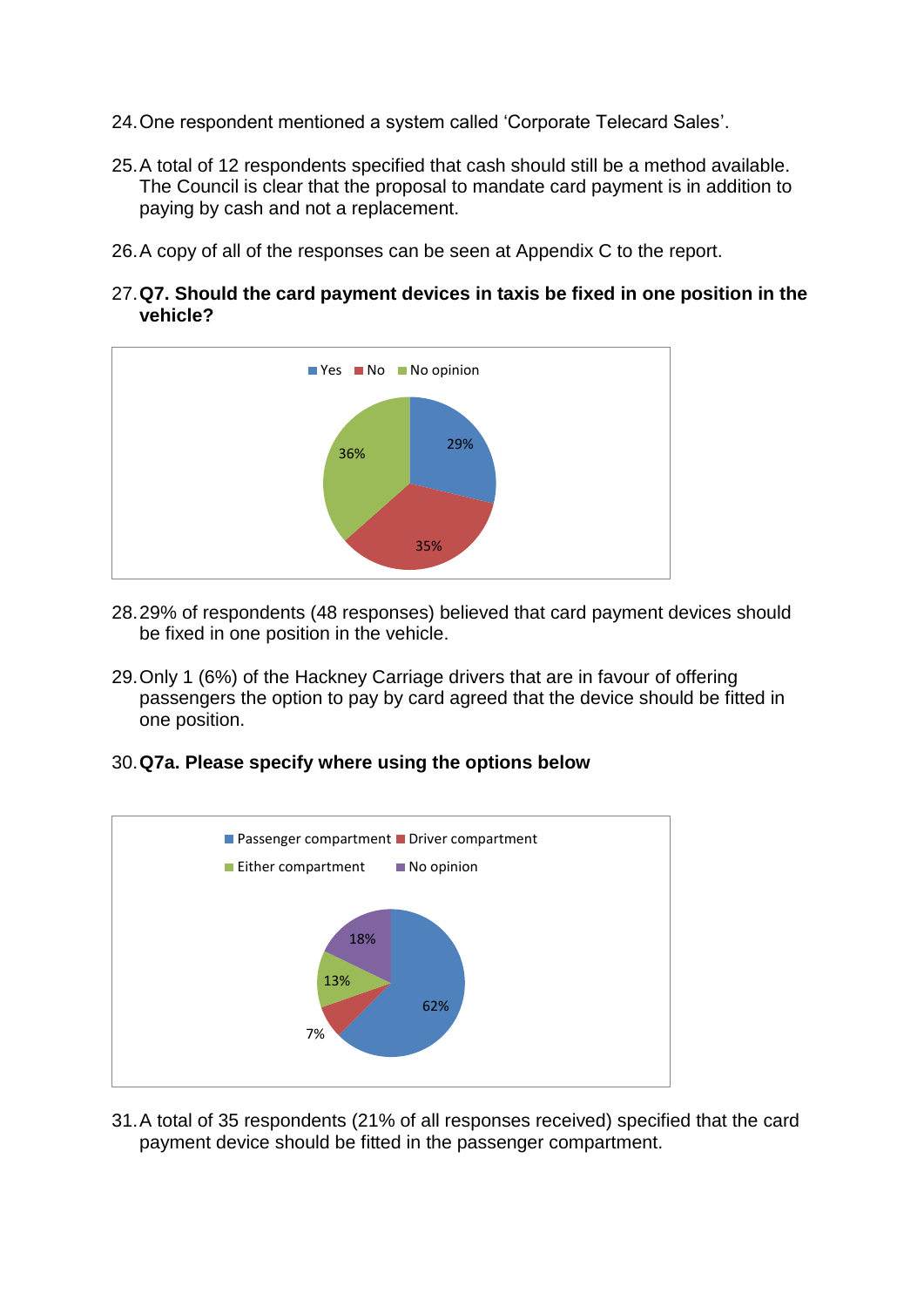- 24.One respondent mentioned a system called 'Corporate Telecard Sales'.
- 25.A total of 12 respondents specified that cash should still be a method available. The Council is clear that the proposal to mandate card payment is in addition to paying by cash and not a replacement.
- 26.A copy of all of the responses can be seen at Appendix C to the report.
- 27.**Q7. Should the card payment devices in taxis be fixed in one position in the vehicle?**



- 28.29% of respondents (48 responses) believed that card payment devices should be fixed in one position in the vehicle.
- 29.Only 1 (6%) of the Hackney Carriage drivers that are in favour of offering passengers the option to pay by card agreed that the device should be fitted in one position.

## 30.**Q7a. Please specify where using the options below**



31.A total of 35 respondents (21% of all responses received) specified that the card payment device should be fitted in the passenger compartment.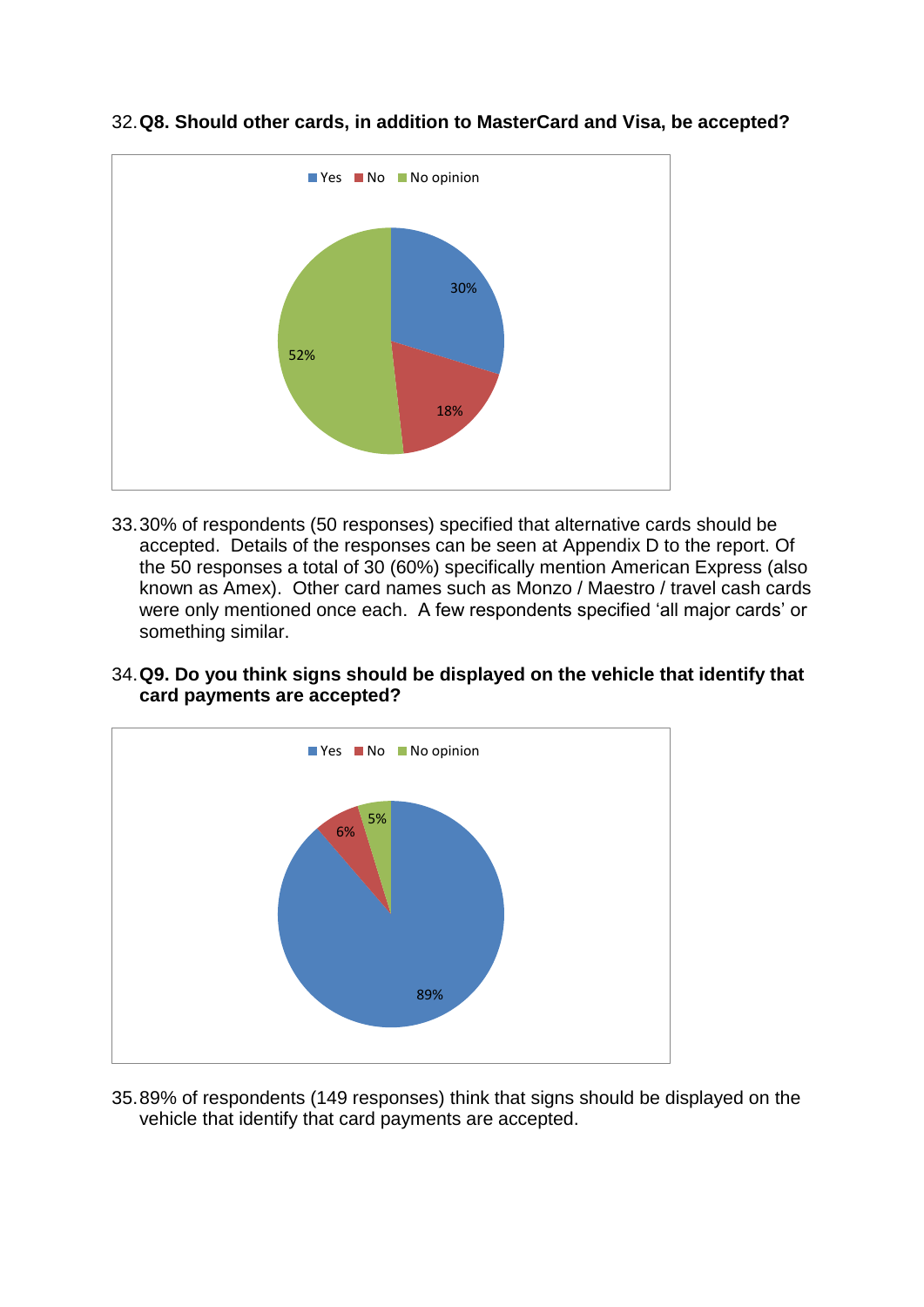

# 32.**Q8. Should other cards, in addition to MasterCard and Visa, be accepted?**

33.30% of respondents (50 responses) specified that alternative cards should be accepted. Details of the responses can be seen at Appendix D to the report. Of the 50 responses a total of 30 (60%) specifically mention American Express (also known as Amex). Other card names such as Monzo / Maestro / travel cash cards were only mentioned once each. A few respondents specified 'all major cards' or something similar.

# 34.**Q9. Do you think signs should be displayed on the vehicle that identify that card payments are accepted?**



35.89% of respondents (149 responses) think that signs should be displayed on the vehicle that identify that card payments are accepted.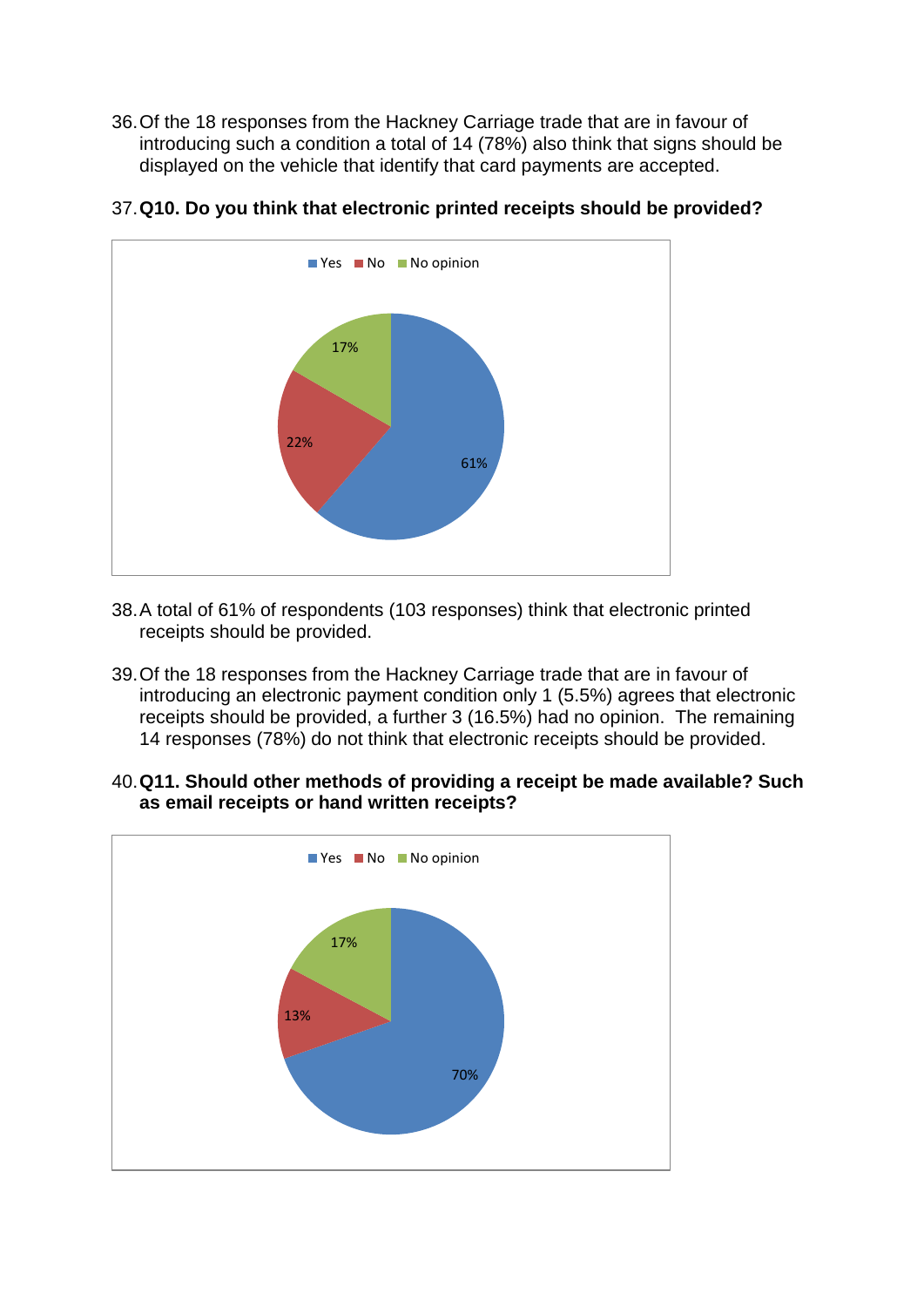36.Of the 18 responses from the Hackney Carriage trade that are in favour of introducing such a condition a total of 14 (78%) also think that signs should be displayed on the vehicle that identify that card payments are accepted.



## 37.**Q10. Do you think that electronic printed receipts should be provided?**

- 38.A total of 61% of respondents (103 responses) think that electronic printed receipts should be provided.
- 39.Of the 18 responses from the Hackney Carriage trade that are in favour of introducing an electronic payment condition only 1 (5.5%) agrees that electronic receipts should be provided, a further 3 (16.5%) had no opinion. The remaining 14 responses (78%) do not think that electronic receipts should be provided.
- 40.**Q11. Should other methods of providing a receipt be made available? Such as email receipts or hand written receipts?**

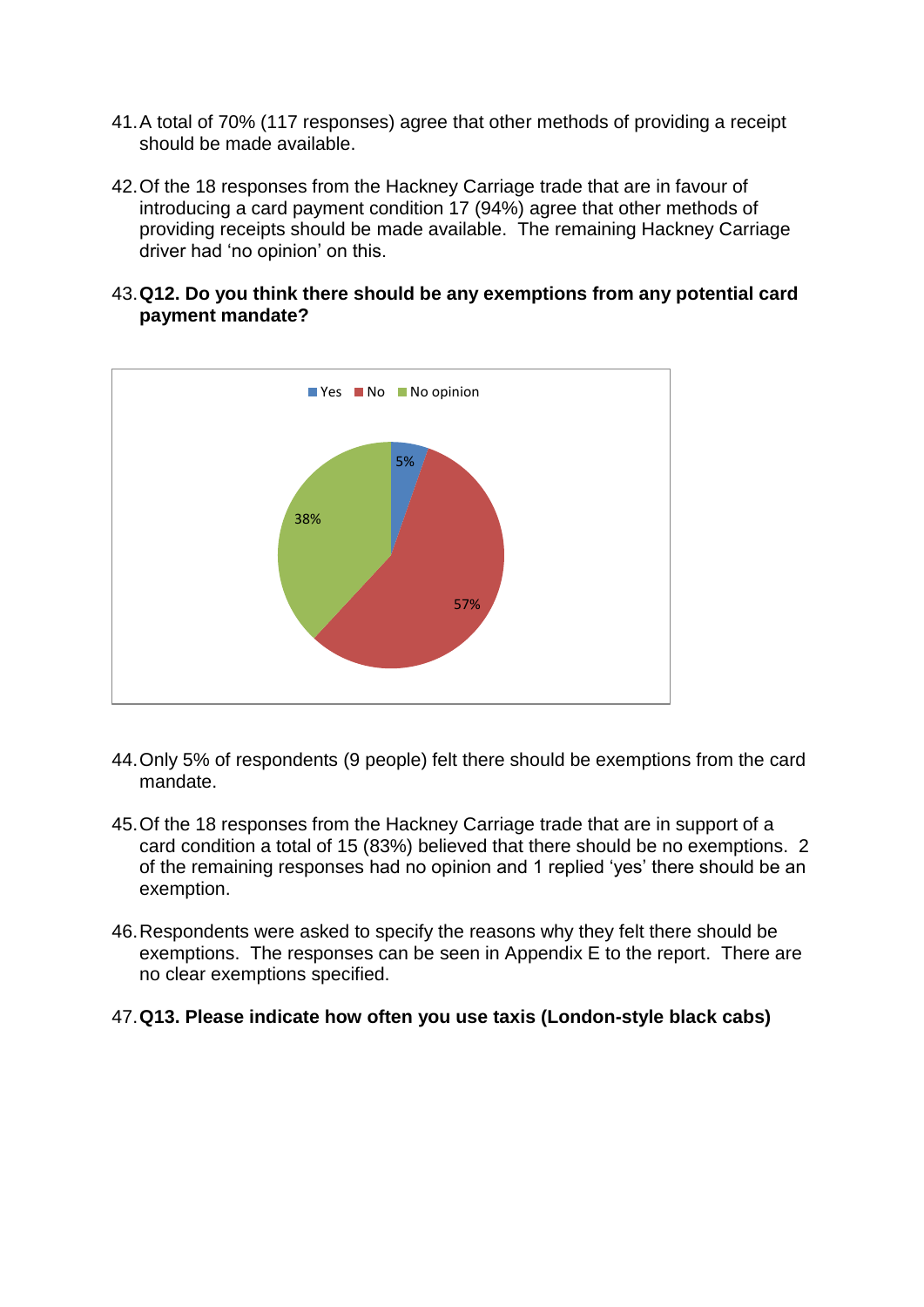- 41.A total of 70% (117 responses) agree that other methods of providing a receipt should be made available.
- 42.Of the 18 responses from the Hackney Carriage trade that are in favour of introducing a card payment condition 17 (94%) agree that other methods of providing receipts should be made available. The remaining Hackney Carriage driver had 'no opinion' on this.
- 43.**Q12. Do you think there should be any exemptions from any potential card payment mandate?**



- 44.Only 5% of respondents (9 people) felt there should be exemptions from the card mandate.
- 45.Of the 18 responses from the Hackney Carriage trade that are in support of a card condition a total of 15 (83%) believed that there should be no exemptions. 2 of the remaining responses had no opinion and 1 replied 'yes' there should be an exemption.
- 46.Respondents were asked to specify the reasons why they felt there should be exemptions. The responses can be seen in Appendix E to the report. There are no clear exemptions specified.

## 47.**Q13. Please indicate how often you use taxis (London-style black cabs)**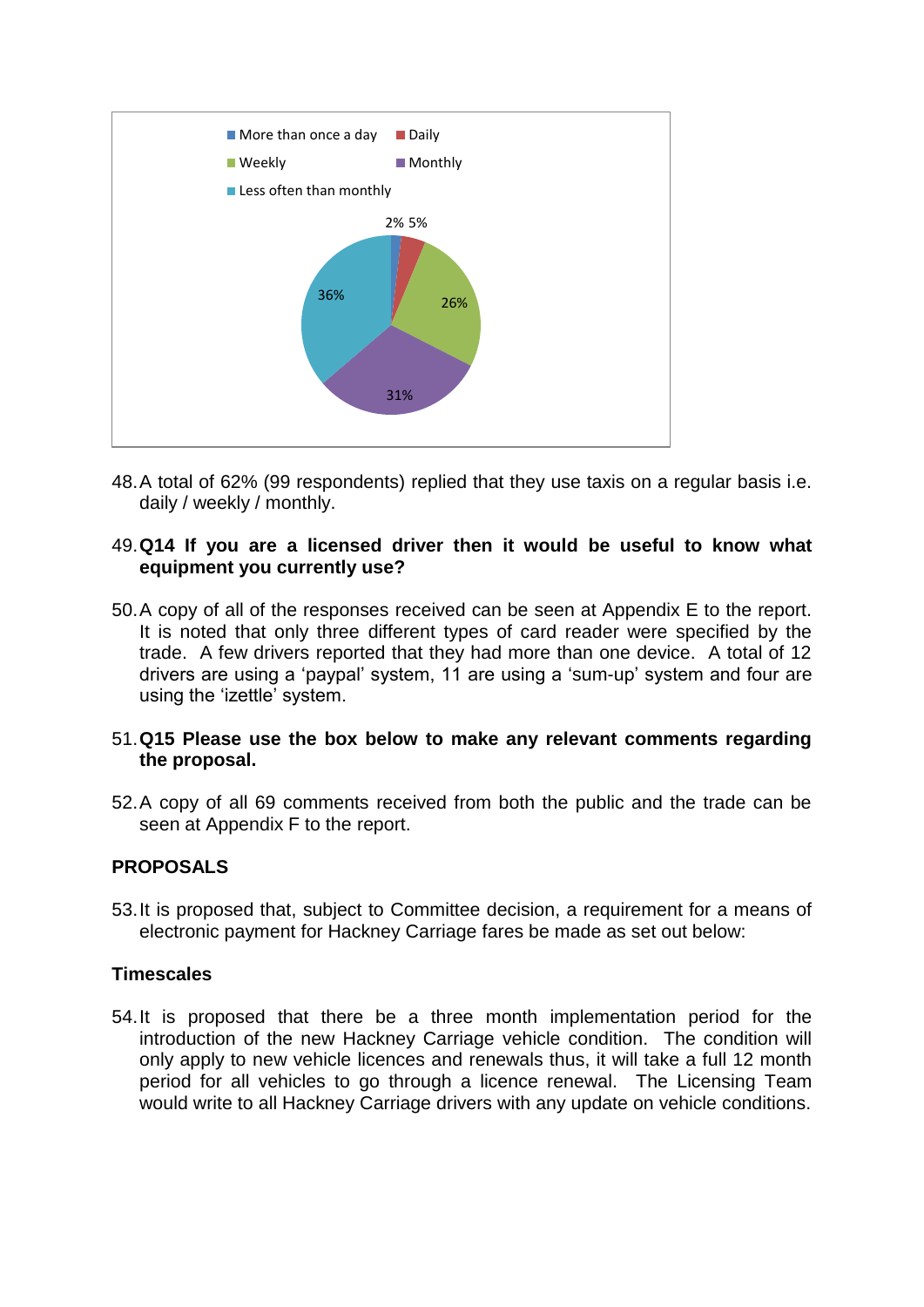

48.A total of 62% (99 respondents) replied that they use taxis on a regular basis i.e. daily / weekly / monthly.

#### 49.**Q14 If you are a licensed driver then it would be useful to know what equipment you currently use?**

50.A copy of all of the responses received can be seen at Appendix E to the report. It is noted that only three different types of card reader were specified by the trade. A few drivers reported that they had more than one device. A total of 12 drivers are using a 'paypal' system, 11 are using a 'sum-up' system and four are using the 'izettle' system.

## 51.**Q15 Please use the box below to make any relevant comments regarding the proposal.**

52.A copy of all 69 comments received from both the public and the trade can be seen at Appendix F to the report.

## **PROPOSALS**

53.It is proposed that, subject to Committee decision, a requirement for a means of electronic payment for Hackney Carriage fares be made as set out below:

#### **Timescales**

54.It is proposed that there be a three month implementation period for the introduction of the new Hackney Carriage vehicle condition. The condition will only apply to new vehicle licences and renewals thus, it will take a full 12 month period for all vehicles to go through a licence renewal. The Licensing Team would write to all Hackney Carriage drivers with any update on vehicle conditions.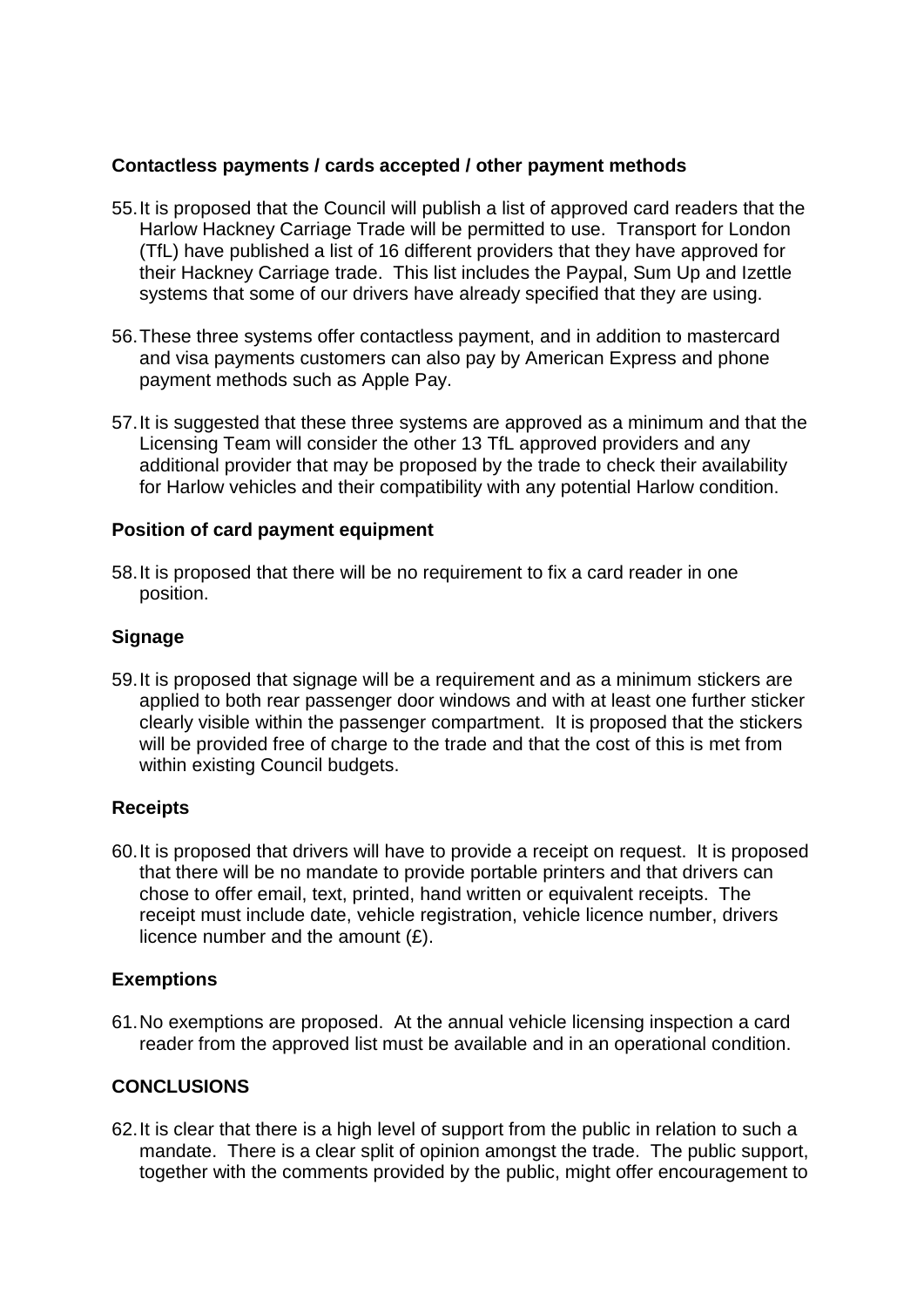## **Contactless payments / cards accepted / other payment methods**

- 55.It is proposed that the Council will publish a list of approved card readers that the Harlow Hackney Carriage Trade will be permitted to use. Transport for London (TfL) have published a list of 16 different providers that they have approved for their Hackney Carriage trade. This list includes the Paypal, Sum Up and Izettle systems that some of our drivers have already specified that they are using.
- 56.These three systems offer contactless payment, and in addition to mastercard and visa payments customers can also pay by American Express and phone payment methods such as Apple Pay.
- 57.It is suggested that these three systems are approved as a minimum and that the Licensing Team will consider the other 13 TfL approved providers and any additional provider that may be proposed by the trade to check their availability for Harlow vehicles and their compatibility with any potential Harlow condition.

#### **Position of card payment equipment**

58.It is proposed that there will be no requirement to fix a card reader in one position.

#### **Signage**

59.It is proposed that signage will be a requirement and as a minimum stickers are applied to both rear passenger door windows and with at least one further sticker clearly visible within the passenger compartment. It is proposed that the stickers will be provided free of charge to the trade and that the cost of this is met from within existing Council budgets.

## **Receipts**

60.It is proposed that drivers will have to provide a receipt on request. It is proposed that there will be no mandate to provide portable printers and that drivers can chose to offer email, text, printed, hand written or equivalent receipts. The receipt must include date, vehicle registration, vehicle licence number, drivers licence number and the amount  $(E)$ .

## **Exemptions**

61.No exemptions are proposed. At the annual vehicle licensing inspection a card reader from the approved list must be available and in an operational condition.

## **CONCLUSIONS**

62.It is clear that there is a high level of support from the public in relation to such a mandate. There is a clear split of opinion amongst the trade. The public support, together with the comments provided by the public, might offer encouragement to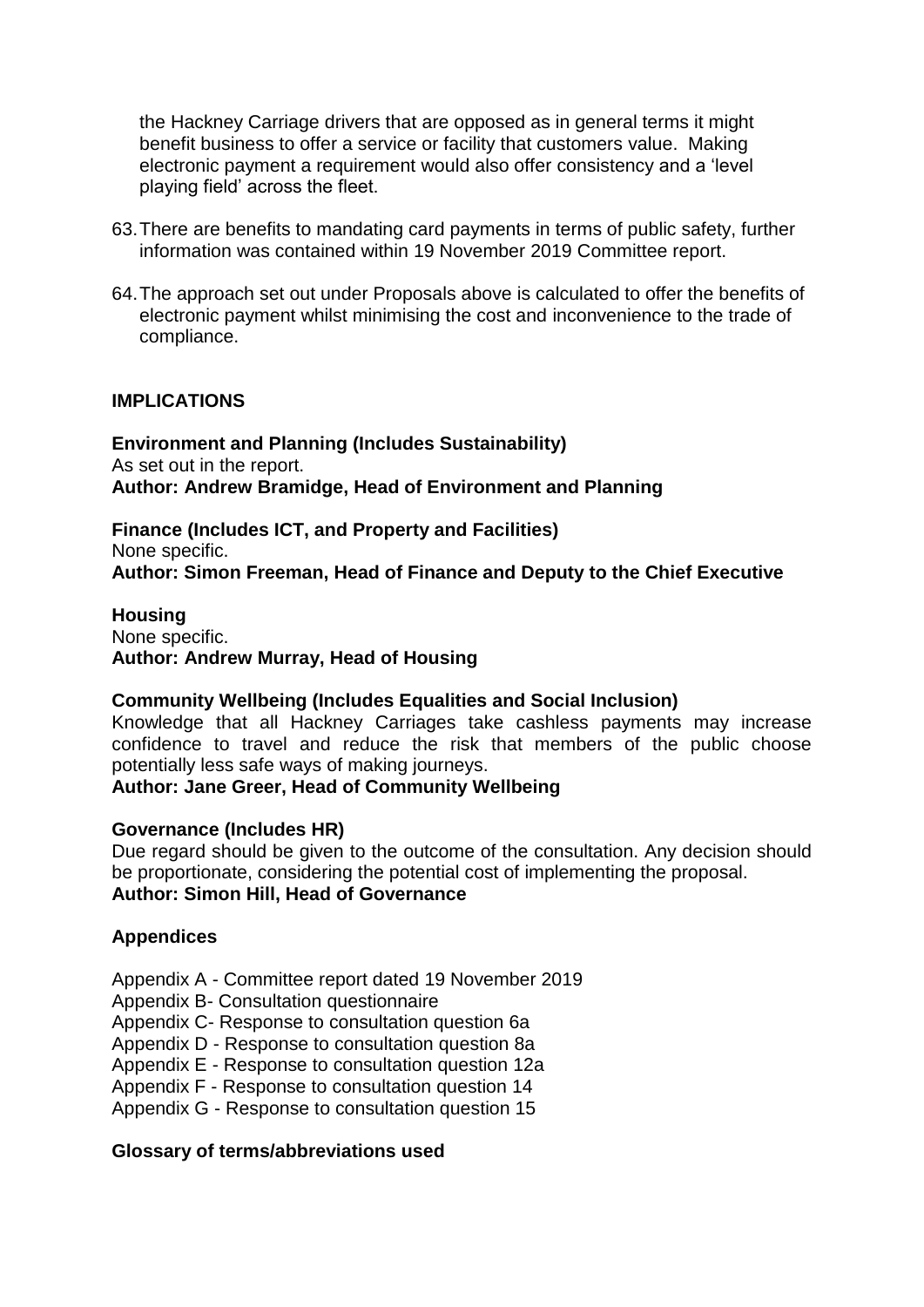the Hackney Carriage drivers that are opposed as in general terms it might benefit business to offer a service or facility that customers value. Making electronic payment a requirement would also offer consistency and a 'level playing field' across the fleet.

- 63.There are benefits to mandating card payments in terms of public safety, further information was contained within 19 November 2019 Committee report.
- 64.The approach set out under Proposals above is calculated to offer the benefits of electronic payment whilst minimising the cost and inconvenience to the trade of compliance.

## **IMPLICATIONS**

**Environment and Planning (Includes Sustainability)** As set out in the report. **Author: Andrew Bramidge, Head of Environment and Planning**

**Finance (Includes ICT, and Property and Facilities)** None specific. **Author: Simon Freeman, Head of Finance and Deputy to the Chief Executive**

**Housing** None specific. **Author: Andrew Murray, Head of Housing**

#### **Community Wellbeing (Includes Equalities and Social Inclusion)**

Knowledge that all Hackney Carriages take cashless payments may increase confidence to travel and reduce the risk that members of the public choose potentially less safe ways of making journeys.

#### **Author: Jane Greer, Head of Community Wellbeing**

#### **Governance (Includes HR)**

Due regard should be given to the outcome of the consultation. Any decision should be proportionate, considering the potential cost of implementing the proposal. **Author: Simon Hill, Head of Governance**

#### **Appendices**

Appendix A - Committee report dated 19 November 2019

Appendix B- Consultation questionnaire

Appendix C- Response to consultation question 6a

Appendix D - Response to consultation question 8a

Appendix E - Response to consultation question 12a

Appendix F - Response to consultation question 14

Appendix G - Response to consultation question 15

#### **Glossary of terms/abbreviations used**